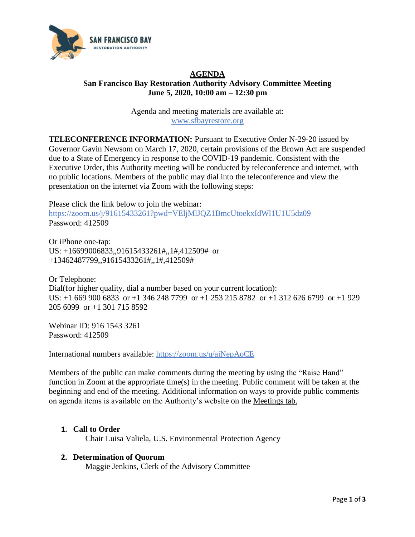

# **AGENDA San Francisco Bay Restoration Authority Advisory Committee Meeting June 5, 2020, 10:00 am – 12:30 pm**

Agenda and meeting materials are available at: [www.sfbayrestore.org](http://www.sfbayrestore.org/)

**TELECONFERENCE INFORMATION:** Pursuant to Executive Order N-29-20 issued by Governor Gavin Newsom on March 17, 2020, certain provisions of the Brown Act are suspended due to a State of Emergency in response to the COVID-19 pandemic. Consistent with the Executive Order, this Authority meeting will be conducted by teleconference and internet, with no public locations. Members of the public may dial into the teleconference and view the presentation on the internet via Zoom with the following steps:

Please click the link below to join the webinar: <https://zoom.us/j/91615433261?pwd=VEljMlJQZ1BmcUtoekxIdWl1U1U5dz09> Password: 412509

Or iPhone one-tap: US: +16699006833,,91615433261#,,1#,412509# or +13462487799,,91615433261#,,1#,412509#

Or Telephone: Dial(for higher quality, dial a number based on your current location): US: +1 669 900 6833 or +1 346 248 7799 or +1 253 215 8782 or +1 312 626 6799 or +1 929 205 6099 or +1 301 715 8592

Webinar ID: 916 1543 3261 Password: 412509

International numbers available:<https://zoom.us/u/ajNepAoCE>

Members of the public can make comments during the meeting by using the "Raise Hand" function in Zoom at the appropriate time(s) in the meeting. Public comment will be taken at the beginning and end of the meeting. Additional information on ways to provide public comments on agenda items is available on the Authority's website on the [Meetings tab.](http://sfbayrestore.org/meetings)

# **1. Call to Order**

Chair Luisa Valiela, U.S. Environmental Protection Agency

# **2. Determination of Quorum**

Maggie Jenkins, Clerk of the Advisory Committee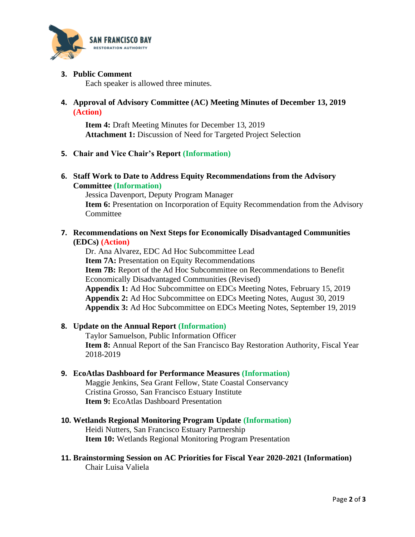

### **3. Public Comment**

Each speaker is allowed three minutes.

### **4. Approval of Advisory Committee (AC) Meeting Minutes of December 13, 2019 (Action)**

**Item 4:** Draft Meeting Minutes for December 13, 2019 **Attachment 1:** Discussion of Need for Targeted Project Selection

#### **5. Chair and Vice Chair's Report (Information)**

#### **6. Staff Work to Date to Address Equity Recommendations from the Advisory Committee (Information)**

Jessica Davenport, Deputy Program Manager **Item 6:** Presentation on Incorporation of Equity Recommendation from the Advisory **Committee** 

#### **7. Recommendations on Next Steps for Economically Disadvantaged Communities (EDCs) (Action)**

Dr. Ana Alvarez, EDC Ad Hoc Subcommittee Lead **Item 7A:** Presentation on Equity Recommendations **Item 7B:** Report of the Ad Hoc Subcommittee on Recommendations to Benefit Economically Disadvantaged Communities (Revised) **Appendix 1:** Ad Hoc Subcommittee on EDCs Meeting Notes, February 15, 2019 **Appendix 2:** Ad Hoc Subcommittee on EDCs Meeting Notes, August 30, 2019 **Appendix 3:** Ad Hoc Subcommittee on EDCs Meeting Notes, September 19, 2019

# **8. Update on the Annual Report (Information)**

Taylor Samuelson, Public Information Officer **Item 8:** Annual Report of the San Francisco Bay Restoration Authority, Fiscal Year 2018-2019

#### **9. EcoAtlas Dashboard for Performance Measures (Information)**

Maggie Jenkins, Sea Grant Fellow, State Coastal Conservancy Cristina Grosso, San Francisco Estuary Institute **Item 9:** EcoAtlas Dashboard Presentation

- **10. Wetlands Regional Monitoring Program Update (Information)** Heidi Nutters, San Francisco Estuary Partnership **Item 10:** Wetlands Regional Monitoring Program Presentation
- **11. Brainstorming Session on AC Priorities for Fiscal Year 2020-2021 (Information)** Chair Luisa Valiela